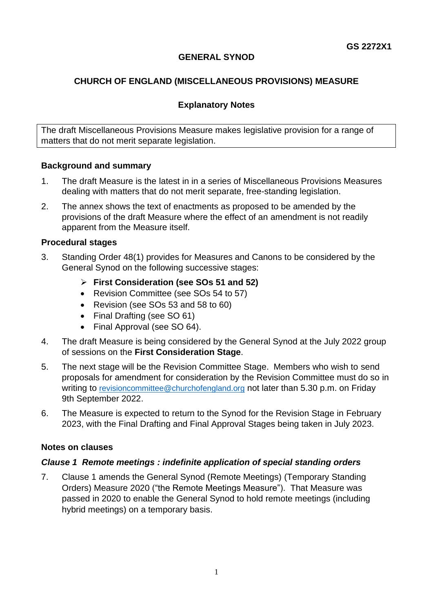## **GENERAL SYNOD**

# **CHURCH OF ENGLAND (MISCELLANEOUS PROVISIONS) MEASURE**

## **Explanatory Notes**

The draft Miscellaneous Provisions Measure makes legislative provision for a range of matters that do not merit separate legislation.

## **Background and summary**

- 1. The draft Measure is the latest in in a series of Miscellaneous Provisions Measures dealing with matters that do not merit separate, free-standing legislation.
- 2. The annex shows the text of enactments as proposed to be amended by the provisions of the draft Measure where the effect of an amendment is not readily apparent from the Measure itself.

### **Procedural stages**

- 3. Standing Order 48(1) provides for Measures and Canons to be considered by the General Synod on the following successive stages:
	- ➢ **First Consideration (see SOs 51 and 52)**
	- Revision Committee (see SOs 54 to 57)
	- Revision (see SOs 53 and 58 to 60)
	- Final Drafting (see SO 61)
	- Final Approval (see SO 64).
- 4. The draft Measure is being considered by the General Synod at the July 2022 group of sessions on the **First Consideration Stage**.
- 5. The next stage will be the Revision Committee Stage. Members who wish to send proposals for amendment for consideration by the Revision Committee must do so in writing to [revisioncommittee@churchofengland.org](mailto:revisioncommittee@churchofengland.org) not later than 5.30 p.m. on Friday 9th September 2022.
- 6. The Measure is expected to return to the Synod for the Revision Stage in February 2023, with the Final Drafting and Final Approval Stages being taken in July 2023.

#### **Notes on clauses**

## *Clause 1 Remote meetings : indefinite application of special standing orders*

7. Clause 1 amends the General Synod (Remote Meetings) (Temporary Standing Orders) Measure 2020 ("the Remote Meetings Measure"). That Measure was passed in 2020 to enable the General Synod to hold remote meetings (including hybrid meetings) on a temporary basis.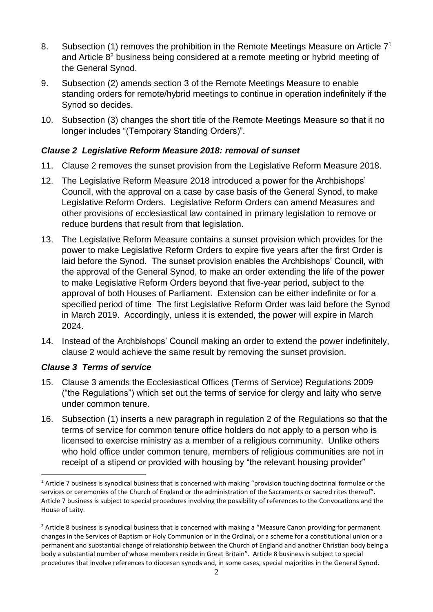- 8. Subsection (1) removes the prohibition in the Remote Meetings Measure on Article  $7<sup>1</sup>$ and Article 8<sup>2</sup> business being considered at a remote meeting or hybrid meeting of the General Synod.
- 9. Subsection (2) amends section 3 of the Remote Meetings Measure to enable standing orders for remote/hybrid meetings to continue in operation indefinitely if the Synod so decides.
- 10. Subsection (3) changes the short title of the Remote Meetings Measure so that it no longer includes "(Temporary Standing Orders)".

## *Clause 2 Legislative Reform Measure 2018: removal of sunset*

- 11. Clause 2 removes the sunset provision from the Legislative Reform Measure 2018.
- 12. The Legislative Reform Measure 2018 introduced a power for the Archbishops' Council, with the approval on a case by case basis of the General Synod, to make Legislative Reform Orders. Legislative Reform Orders can amend Measures and other provisions of ecclesiastical law contained in primary legislation to remove or reduce burdens that result from that legislation.
- 13. The Legislative Reform Measure contains a sunset provision which provides for the power to make Legislative Reform Orders to expire five years after the first Order is laid before the Synod. The sunset provision enables the Archbishops' Council, with the approval of the General Synod, to make an order extending the life of the power to make Legislative Reform Orders beyond that five-year period, subject to the approval of both Houses of Parliament. Extension can be either indefinite or for a specified period of time The first Legislative Reform Order was laid before the Synod in March 2019. Accordingly, unless it is extended, the power will expire in March 2024.
- 14. Instead of the Archbishops' Council making an order to extend the power indefinitely, clause 2 would achieve the same result by removing the sunset provision.

## *Clause 3 Terms of service*

- 15. Clause 3 amends the Ecclesiastical Offices (Terms of Service) Regulations 2009 ("the Regulations") which set out the terms of service for clergy and laity who serve under common tenure.
- 16. Subsection (1) inserts a new paragraph in regulation 2 of the Regulations so that the terms of service for common tenure office holders do not apply to a person who is licensed to exercise ministry as a member of a religious community. Unlike others who hold office under common tenure, members of religious communities are not in receipt of a stipend or provided with housing by "the relevant housing provider"

 $1$  Article 7 business is synodical business that is concerned with making "provision touching doctrinal formulae or the services or ceremonies of the Church of England or the administration of the Sacraments or sacred rites thereof". Article 7 business is subject to special procedures involving the possibility of references to the Convocations and the House of Laity.

 $2$  Article 8 business is synodical business that is concerned with making a "Measure Canon providing for permanent changes in the Services of Baptism or Holy Communion or in the Ordinal, or a scheme for a constitutional union or a permanent and substantial change of relationship between the Church of England and another Christian body being a body a substantial number of whose members reside in Great Britain". Article 8 business is subject to special procedures that involve references to diocesan synods and, in some cases, special majorities in the General Synod.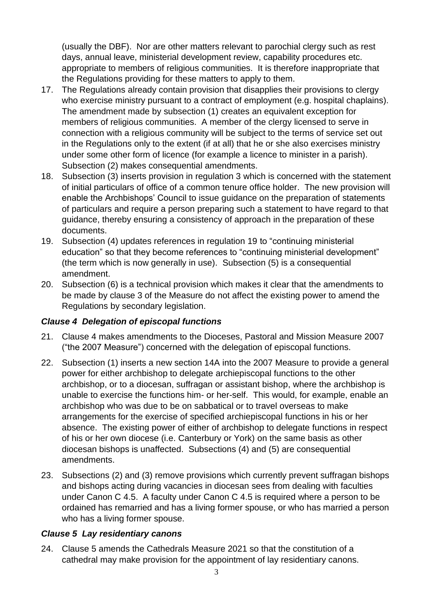(usually the DBF). Nor are other matters relevant to parochial clergy such as rest days, annual leave, ministerial development review, capability procedures etc. appropriate to members of religious communities. It is therefore inappropriate that the Regulations providing for these matters to apply to them.

- 17. The Regulations already contain provision that disapplies their provisions to clergy who exercise ministry pursuant to a contract of employment (e.g. hospital chaplains). The amendment made by subsection (1) creates an equivalent exception for members of religious communities. A member of the clergy licensed to serve in connection with a religious community will be subject to the terms of service set out in the Regulations only to the extent (if at all) that he or she also exercises ministry under some other form of licence (for example a licence to minister in a parish). Subsection (2) makes consequential amendments.
- 18. Subsection (3) inserts provision in regulation 3 which is concerned with the statement of initial particulars of office of a common tenure office holder. The new provision will enable the Archbishops' Council to issue guidance on the preparation of statements of particulars and require a person preparing such a statement to have regard to that guidance, thereby ensuring a consistency of approach in the preparation of these documents.
- 19. Subsection (4) updates references in regulation 19 to "continuing ministerial education" so that they become references to "continuing ministerial development" (the term which is now generally in use). Subsection (5) is a consequential amendment.
- 20. Subsection (6) is a technical provision which makes it clear that the amendments to be made by clause 3 of the Measure do not affect the existing power to amend the Regulations by secondary legislation.

# *Clause 4 Delegation of episcopal functions*

- 21. Clause 4 makes amendments to the Dioceses, Pastoral and Mission Measure 2007 ("the 2007 Measure") concerned with the delegation of episcopal functions.
- 22. Subsection (1) inserts a new section 14A into the 2007 Measure to provide a general power for either archbishop to delegate archiepiscopal functions to the other archbishop, or to a diocesan, suffragan or assistant bishop, where the archbishop is unable to exercise the functions him- or her-self. This would, for example, enable an archbishop who was due to be on sabbatical or to travel overseas to make arrangements for the exercise of specified archiepiscopal functions in his or her absence. The existing power of either of archbishop to delegate functions in respect of his or her own diocese (i.e. Canterbury or York) on the same basis as other diocesan bishops is unaffected. Subsections (4) and (5) are consequential amendments.
- 23. Subsections (2) and (3) remove provisions which currently prevent suffragan bishops and bishops acting during vacancies in diocesan sees from dealing with faculties under Canon C 4.5. A faculty under Canon C 4.5 is required where a person to be ordained has remarried and has a living former spouse, or who has married a person who has a living former spouse.

# *Clause 5 Lay residentiary canons*

24. Clause 5 amends the Cathedrals Measure 2021 so that the constitution of a cathedral may make provision for the appointment of lay residentiary canons.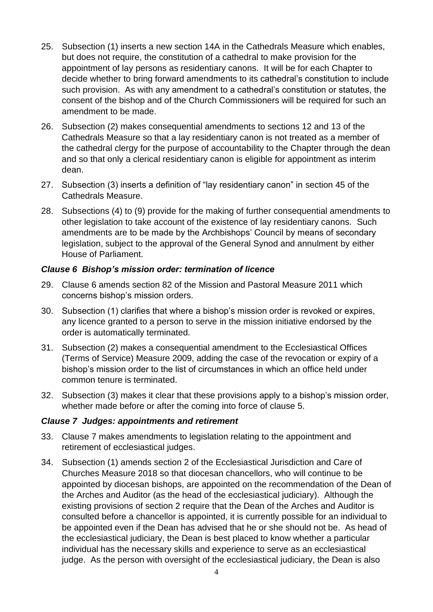- 25. Subsection (1) inserts a new section 14A in the Cathedrals Measure which enables, but does not require, the constitution of a cathedral to make provision for the appointment of lay persons as residentiary canons. It will be for each Chapter to decide whether to bring forward amendments to its cathedral's constitution to include such provision. As with any amendment to a cathedral's constitution or statutes, the consent of the bishop and of the Church Commissioners will be required for such an amendment to be made.
- 26. Subsection (2) makes consequential amendments to sections 12 and 13 of the Cathedrals Measure so that a lay residentiary canon is not treated as a member of the cathedral clergy for the purpose of accountability to the Chapter through the dean and so that only a clerical residentiary canon is eligible for appointment as interim dean.
- 27. Subsection (3) inserts a definition of "lay residentiary canon" in section 45 of the Cathedrals Measure.
- 28. Subsections (4) to (9) provide for the making of further consequential amendments to other legislation to take account of the existence of lay residentiary canons. Such amendments are to be made by the Archbishops' Council by means of secondary legislation, subject to the approval of the General Synod and annulment by either House of Parliament.

## *Clause 6 Bishop's mission order: termination of licence*

- 29. Clause 6 amends section 82 of the Mission and Pastoral Measure 2011 which concerns bishop's mission orders.
- 30. Subsection (1) clarifies that where a bishop's mission order is revoked or expires, any licence granted to a person to serve in the mission initiative endorsed by the order is automatically terminated.
- 31. Subsection (2) makes a consequential amendment to the Ecclesiastical Offices (Terms of Service) Measure 2009, adding the case of the revocation or expiry of a bishop's mission order to the list of circumstances in which an office held under common tenure is terminated.
- 32. Subsection (3) makes it clear that these provisions apply to a bishop's mission order, whether made before or after the coming into force of clause 5.

## *Clause 7 Judges: appointments and retirement*

- 33. Clause 7 makes amendments to legislation relating to the appointment and retirement of ecclesiastical judges.
- 34. Subsection (1) amends section 2 of the Ecclesiastical Jurisdiction and Care of Churches Measure 2018 so that diocesan chancellors, who will continue to be appointed by diocesan bishops, are appointed on the recommendation of the Dean of the Arches and Auditor (as the head of the ecclesiastical judiciary). Although the existing provisions of section 2 require that the Dean of the Arches and Auditor is consulted before a chancellor is appointed, it is currently possible for an individual to be appointed even if the Dean has advised that he or she should not be. As head of the ecclesiastical judiciary, the Dean is best placed to know whether a particular individual has the necessary skills and experience to serve as an ecclesiastical judge. As the person with oversight of the ecclesiastical judiciary, the Dean is also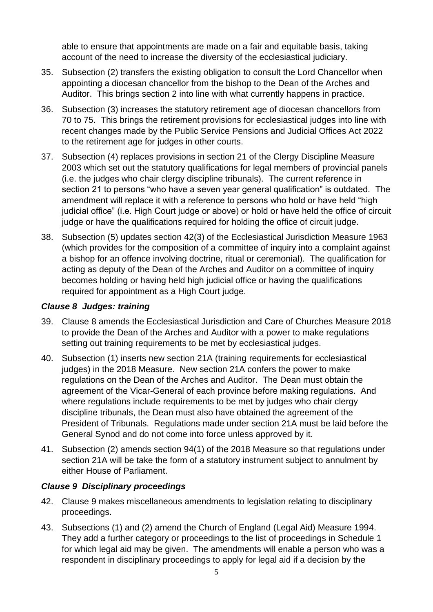able to ensure that appointments are made on a fair and equitable basis, taking account of the need to increase the diversity of the ecclesiastical judiciary.

- 35. Subsection (2) transfers the existing obligation to consult the Lord Chancellor when appointing a diocesan chancellor from the bishop to the Dean of the Arches and Auditor. This brings section 2 into line with what currently happens in practice.
- 36. Subsection (3) increases the statutory retirement age of diocesan chancellors from 70 to 75. This brings the retirement provisions for ecclesiastical judges into line with recent changes made by the Public Service Pensions and Judicial Offices Act 2022 to the retirement age for judges in other courts.
- 37. Subsection (4) replaces provisions in section 21 of the Clergy Discipline Measure 2003 which set out the statutory qualifications for legal members of provincial panels (i.e. the judges who chair clergy discipline tribunals). The current reference in section 21 to persons "who have a seven year general qualification" is outdated. The amendment will replace it with a reference to persons who hold or have held "high judicial office" (i.e. High Court judge or above) or hold or have held the office of circuit judge or have the qualifications required for holding the office of circuit judge.
- 38. Subsection (5) updates section 42(3) of the Ecclesiastical Jurisdiction Measure 1963 (which provides for the composition of a committee of inquiry into a complaint against a bishop for an offence involving doctrine, ritual or ceremonial). The qualification for acting as deputy of the Dean of the Arches and Auditor on a committee of inquiry becomes holding or having held high judicial office or having the qualifications required for appointment as a High Court judge.

## *Clause 8 Judges: training*

- 39. Clause 8 amends the Ecclesiastical Jurisdiction and Care of Churches Measure 2018 to provide the Dean of the Arches and Auditor with a power to make regulations setting out training requirements to be met by ecclesiastical judges.
- 40. Subsection (1) inserts new section 21A (training requirements for ecclesiastical judges) in the 2018 Measure. New section 21A confers the power to make regulations on the Dean of the Arches and Auditor. The Dean must obtain the agreement of the Vicar-General of each province before making regulations. And where regulations include requirements to be met by judges who chair clergy discipline tribunals, the Dean must also have obtained the agreement of the President of Tribunals. Regulations made under section 21A must be laid before the General Synod and do not come into force unless approved by it.
- 41. Subsection (2) amends section 94(1) of the 2018 Measure so that regulations under section 21A will be take the form of a statutory instrument subject to annulment by either House of Parliament.

## *Clause 9 Disciplinary proceedings*

- 42. Clause 9 makes miscellaneous amendments to legislation relating to disciplinary proceedings.
- 43. Subsections (1) and (2) amend the Church of England (Legal Aid) Measure 1994. They add a further category or proceedings to the list of proceedings in Schedule 1 for which legal aid may be given. The amendments will enable a person who was a respondent in disciplinary proceedings to apply for legal aid if a decision by the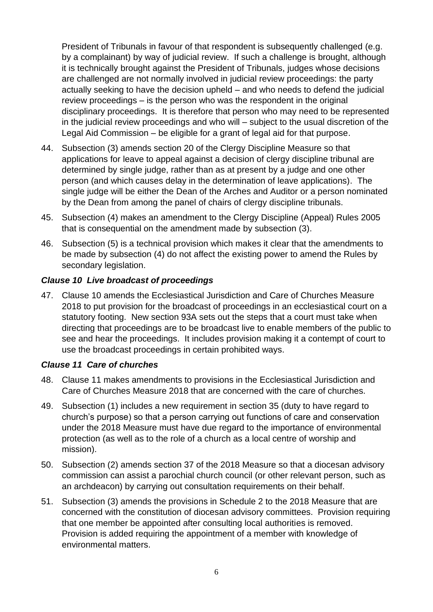President of Tribunals in favour of that respondent is subsequently challenged (e.g. by a complainant) by way of judicial review. If such a challenge is brought, although it is technically brought against the President of Tribunals, judges whose decisions are challenged are not normally involved in judicial review proceedings: the party actually seeking to have the decision upheld – and who needs to defend the judicial review proceedings – is the person who was the respondent in the original disciplinary proceedings. It is therefore that person who may need to be represented in the judicial review proceedings and who will – subject to the usual discretion of the Legal Aid Commission – be eligible for a grant of legal aid for that purpose.

- 44. Subsection (3) amends section 20 of the Clergy Discipline Measure so that applications for leave to appeal against a decision of clergy discipline tribunal are determined by single judge, rather than as at present by a judge and one other person (and which causes delay in the determination of leave applications). The single judge will be either the Dean of the Arches and Auditor or a person nominated by the Dean from among the panel of chairs of clergy discipline tribunals.
- 45. Subsection (4) makes an amendment to the Clergy Discipline (Appeal) Rules 2005 that is consequential on the amendment made by subsection (3).
- 46. Subsection (5) is a technical provision which makes it clear that the amendments to be made by subsection (4) do not affect the existing power to amend the Rules by secondary legislation.

# *Clause 10 Live broadcast of proceedings*

47. Clause 10 amends the Ecclesiastical Jurisdiction and Care of Churches Measure 2018 to put provision for the broadcast of proceedings in an ecclesiastical court on a statutory footing. New section 93A sets out the steps that a court must take when directing that proceedings are to be broadcast live to enable members of the public to see and hear the proceedings. It includes provision making it a contempt of court to use the broadcast proceedings in certain prohibited ways.

## *Clause 11 Care of churches*

- 48. Clause 11 makes amendments to provisions in the Ecclesiastical Jurisdiction and Care of Churches Measure 2018 that are concerned with the care of churches.
- 49. Subsection (1) includes a new requirement in section 35 (duty to have regard to church's purpose) so that a person carrying out functions of care and conservation under the 2018 Measure must have due regard to the importance of environmental protection (as well as to the role of a church as a local centre of worship and mission).
- 50. Subsection (2) amends section 37 of the 2018 Measure so that a diocesan advisory commission can assist a parochial church council (or other relevant person, such as an archdeacon) by carrying out consultation requirements on their behalf.
- 51. Subsection (3) amends the provisions in Schedule 2 to the 2018 Measure that are concerned with the constitution of diocesan advisory committees. Provision requiring that one member be appointed after consulting local authorities is removed. Provision is added requiring the appointment of a member with knowledge of environmental matters.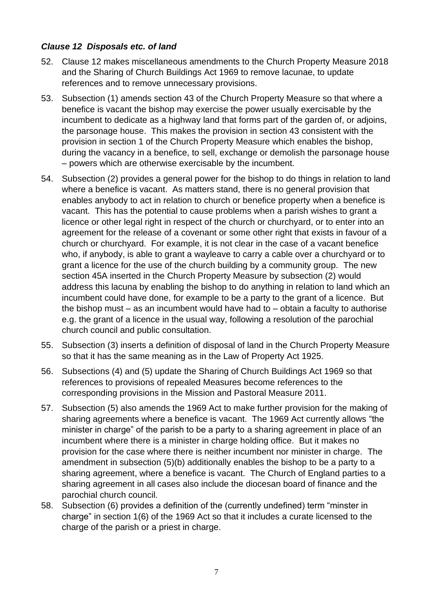## *Clause 12 Disposals etc. of land*

- 52. Clause 12 makes miscellaneous amendments to the Church Property Measure 2018 and the Sharing of Church Buildings Act 1969 to remove lacunae, to update references and to remove unnecessary provisions.
- 53. Subsection (1) amends section 43 of the Church Property Measure so that where a benefice is vacant the bishop may exercise the power usually exercisable by the incumbent to dedicate as a highway land that forms part of the garden of, or adjoins, the parsonage house. This makes the provision in section 43 consistent with the provision in section 1 of the Church Property Measure which enables the bishop, during the vacancy in a benefice, to sell, exchange or demolish the parsonage house – powers which are otherwise exercisable by the incumbent.
- 54. Subsection (2) provides a general power for the bishop to do things in relation to land where a benefice is vacant. As matters stand, there is no general provision that enables anybody to act in relation to church or benefice property when a benefice is vacant. This has the potential to cause problems when a parish wishes to grant a licence or other legal right in respect of the church or churchyard, or to enter into an agreement for the release of a covenant or some other right that exists in favour of a church or churchyard. For example, it is not clear in the case of a vacant benefice who, if anybody, is able to grant a wayleave to carry a cable over a churchyard or to grant a licence for the use of the church building by a community group. The new section 45A inserted in the Church Property Measure by subsection (2) would address this lacuna by enabling the bishop to do anything in relation to land which an incumbent could have done, for example to be a party to the grant of a licence. But the bishop must  $-$  as an incumbent would have had to  $-$  obtain a faculty to authorise e.g. the grant of a licence in the usual way, following a resolution of the parochial church council and public consultation.
- 55. Subsection (3) inserts a definition of disposal of land in the Church Property Measure so that it has the same meaning as in the Law of Property Act 1925.
- 56. Subsections (4) and (5) update the Sharing of Church Buildings Act 1969 so that references to provisions of repealed Measures become references to the corresponding provisions in the Mission and Pastoral Measure 2011.
- 57. Subsection (5) also amends the 1969 Act to make further provision for the making of sharing agreements where a benefice is vacant. The 1969 Act currently allows "the minister in charge" of the parish to be a party to a sharing agreement in place of an incumbent where there is a minister in charge holding office. But it makes no provision for the case where there is neither incumbent nor minister in charge. The amendment in subsection (5)(b) additionally enables the bishop to be a party to a sharing agreement, where a benefice is vacant. The Church of England parties to a sharing agreement in all cases also include the diocesan board of finance and the parochial church council.
- 58. Subsection (6) provides a definition of the (currently undefined) term "minster in charge" in section 1(6) of the 1969 Act so that it includes a curate licensed to the charge of the parish or a priest in charge.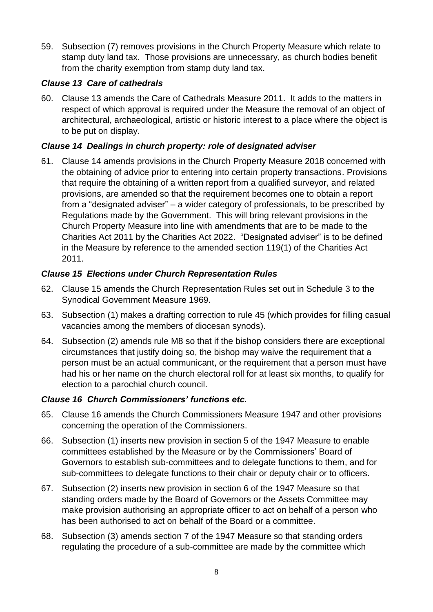59. Subsection (7) removes provisions in the Church Property Measure which relate to stamp duty land tax. Those provisions are unnecessary, as church bodies benefit from the charity exemption from stamp duty land tax.

# *Clause 13 Care of cathedrals*

60. Clause 13 amends the Care of Cathedrals Measure 2011. It adds to the matters in respect of which approval is required under the Measure the removal of an object of architectural, archaeological, artistic or historic interest to a place where the object is to be put on display.

# *Clause 14 Dealings in church property: role of designated adviser*

61. Clause 14 amends provisions in the Church Property Measure 2018 concerned with the obtaining of advice prior to entering into certain property transactions. Provisions that require the obtaining of a written report from a qualified surveyor, and related provisions, are amended so that the requirement becomes one to obtain a report from a "designated adviser" – a wider category of professionals, to be prescribed by Regulations made by the Government. This will bring relevant provisions in the Church Property Measure into line with amendments that are to be made to the Charities Act 2011 by the Charities Act 2022. "Designated adviser" is to be defined in the Measure by reference to the amended section 119(1) of the Charities Act 2011.

# *Clause 15 Elections under Church Representation Rules*

- 62. Clause 15 amends the Church Representation Rules set out in Schedule 3 to the Synodical Government Measure 1969.
- 63. Subsection (1) makes a drafting correction to rule 45 (which provides for filling casual vacancies among the members of diocesan synods).
- 64. Subsection (2) amends rule M8 so that if the bishop considers there are exceptional circumstances that justify doing so, the bishop may waive the requirement that a person must be an actual communicant, or the requirement that a person must have had his or her name on the church electoral roll for at least six months, to qualify for election to a parochial church council.

## *Clause 16 Church Commissioners' functions etc.*

- 65. Clause 16 amends the Church Commissioners Measure 1947 and other provisions concerning the operation of the Commissioners.
- 66. Subsection (1) inserts new provision in section 5 of the 1947 Measure to enable committees established by the Measure or by the Commissioners' Board of Governors to establish sub-committees and to delegate functions to them, and for sub-committees to delegate functions to their chair or deputy chair or to officers.
- 67. Subsection (2) inserts new provision in section 6 of the 1947 Measure so that standing orders made by the Board of Governors or the Assets Committee may make provision authorising an appropriate officer to act on behalf of a person who has been authorised to act on behalf of the Board or a committee.
- 68. Subsection (3) amends section 7 of the 1947 Measure so that standing orders regulating the procedure of a sub-committee are made by the committee which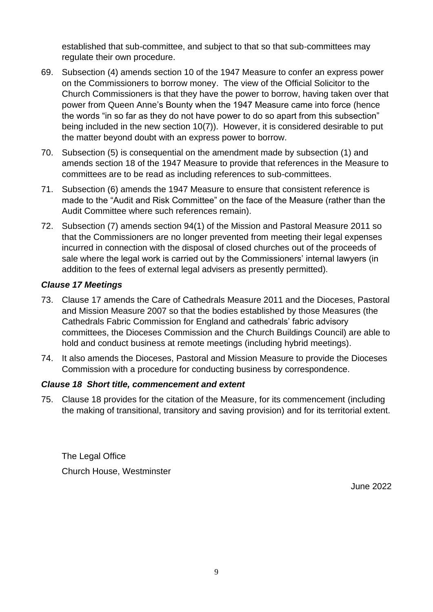established that sub-committee, and subject to that so that sub-committees may regulate their own procedure.

- 69. Subsection (4) amends section 10 of the 1947 Measure to confer an express power on the Commissioners to borrow money. The view of the Official Solicitor to the Church Commissioners is that they have the power to borrow, having taken over that power from Queen Anne's Bounty when the 1947 Measure came into force (hence the words "in so far as they do not have power to do so apart from this subsection" being included in the new section 10(7)). However, it is considered desirable to put the matter beyond doubt with an express power to borrow.
- 70. Subsection (5) is consequential on the amendment made by subsection (1) and amends section 18 of the 1947 Measure to provide that references in the Measure to committees are to be read as including references to sub-committees.
- 71. Subsection (6) amends the 1947 Measure to ensure that consistent reference is made to the "Audit and Risk Committee" on the face of the Measure (rather than the Audit Committee where such references remain).
- 72. Subsection (7) amends section 94(1) of the Mission and Pastoral Measure 2011 so that the Commissioners are no longer prevented from meeting their legal expenses incurred in connection with the disposal of closed churches out of the proceeds of sale where the legal work is carried out by the Commissioners' internal lawyers (in addition to the fees of external legal advisers as presently permitted).

## *Clause 17 Meetings*

- 73. Clause 17 amends the Care of Cathedrals Measure 2011 and the Dioceses, Pastoral and Mission Measure 2007 so that the bodies established by those Measures (the Cathedrals Fabric Commission for England and cathedrals' fabric advisory committees, the Dioceses Commission and the Church Buildings Council) are able to hold and conduct business at remote meetings (including hybrid meetings).
- 74. It also amends the Dioceses, Pastoral and Mission Measure to provide the Dioceses Commission with a procedure for conducting business by correspondence.

## *Clause 18 Short title, commencement and extent*

75. Clause 18 provides for the citation of the Measure, for its commencement (including the making of transitional, transitory and saving provision) and for its territorial extent.

The Legal Office Church House, Westminster

June 2022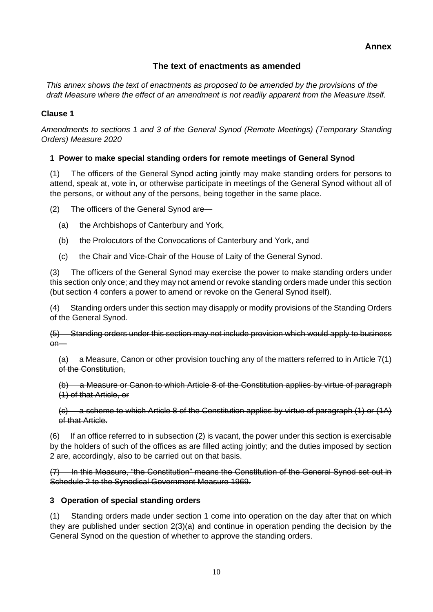## **The text of enactments as amended**

*This annex shows the text of enactments as proposed to be amended by the provisions of the draft Measure where the effect of an amendment is not readily apparent from the Measure itself.*

### **Clause 1**

*Amendments to sections 1 and 3 of the General Synod (Remote Meetings) (Temporary Standing Orders) Measure 2020*

## **1 Power to make special standing orders for remote meetings of General Synod**

(1) The officers of the General Synod acting jointly may make standing orders for persons to attend, speak at, vote in, or otherwise participate in meetings of the General Synod without all of the persons, or without any of the persons, being together in the same place.

(2) The officers of the General Synod are—

- (a) the Archbishops of Canterbury and York,
- (b) the Prolocutors of the Convocations of Canterbury and York, and
- (c) the Chair and Vice-Chair of the House of Laity of the General Synod.

(3) The officers of the General Synod may exercise the power to make standing orders under this section only once; and they may not amend or revoke standing orders made under this section (but section 4 confers a power to amend or revoke on the General Synod itself).

(4) Standing orders under this section may disapply or modify provisions of the Standing Orders of the General Synod.

(5) Standing orders under this section may not include provision which would apply to business on—

(a) a Measure, Canon or other provision touching any of the matters referred to in Article 7(1) of the Constitution,

(b) a Measure or Canon to which Article 8 of the Constitution applies by virtue of paragraph (1) of that Article, or

(c) a scheme to which Article 8 of the Constitution applies by virtue of paragraph (1) or (1A) of that Article.

(6) If an office referred to in subsection (2) is vacant, the power under this section is exercisable by the holders of such of the offices as are filled acting jointly; and the duties imposed by section 2 are, accordingly, also to be carried out on that basis.

(7) In this Measure, "the Constitution" means the Constitution of the General Synod set out in Schedule 2 to the Synodical Government Measure 1969.

#### **3 Operation of special standing orders**

(1) Standing orders made under section 1 come into operation on the day after that on which they are published under section 2(3)(a) and continue in operation pending the decision by the General Synod on the question of whether to approve the standing orders.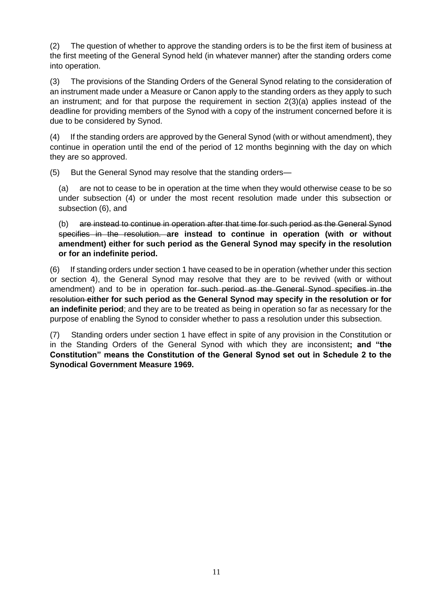(2) The question of whether to approve the standing orders is to be the first item of business at the first meeting of the General Synod held (in whatever manner) after the standing orders come into operation.

(3) The provisions of the Standing Orders of the General Synod relating to the consideration of an instrument made under a Measure or Canon apply to the standing orders as they apply to such an instrument; and for that purpose the requirement in section 2(3)(a) applies instead of the deadline for providing members of the Synod with a copy of the instrument concerned before it is due to be considered by Synod.

(4) If the standing orders are approved by the General Synod (with or without amendment), they continue in operation until the end of the period of 12 months beginning with the day on which they are so approved.

(5) But the General Synod may resolve that the standing orders—

(a) are not to cease to be in operation at the time when they would otherwise cease to be so under subsection (4) or under the most recent resolution made under this subsection or subsection (6), and

(b) are instead to continue in operation after that time for such period as the General Synod specifies in the resolution. **are instead to continue in operation (with or without amendment) either for such period as the General Synod may specify in the resolution or for an indefinite period.**

(6) If standing orders under section 1 have ceased to be in operation (whether under this section or section 4), the General Synod may resolve that they are to be revived (with or without amendment) and to be in operation for such period as the General Synod specifies in the resolution **either for such period as the General Synod may specify in the resolution or for an indefinite period**; and they are to be treated as being in operation so far as necessary for the purpose of enabling the Synod to consider whether to pass a resolution under this subsection.

(7) Standing orders under section 1 have effect in spite of any provision in the Constitution or in the Standing Orders of the General Synod with which they are inconsistent**; and "the Constitution" means the Constitution of the General Synod set out in Schedule 2 to the Synodical Government Measure 1969.**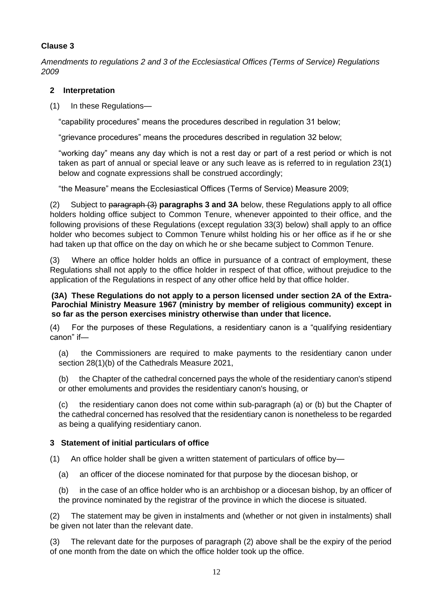*Amendments to regulations 2 and 3 of the Ecclesiastical Offices (Terms of Service) Regulations 2009*

### **2 Interpretation**

(1) In these Regulations—

"capability procedures" means the procedures described in regulation 31 below;

"grievance procedures" means the procedures described in regulation 32 below;

"working day" means any day which is not a rest day or part of a rest period or which is not taken as part of annual or special leave or any such leave as is referred to in regulation 23(1) below and cognate expressions shall be construed accordingly;

"the Measure" means the Ecclesiastical Offices (Terms of Service) Measure 2009;

(2) Subject to paragraph (3) **paragraphs 3 and 3A** below, these Regulations apply to all office holders holding office subject to Common Tenure, whenever appointed to their office, and the following provisions of these Regulations (except regulation 33(3) below) shall apply to an office holder who becomes subject to Common Tenure whilst holding his or her office as if he or she had taken up that office on the day on which he or she became subject to Common Tenure.

(3) Where an office holder holds an office in pursuance of a contract of employment, these Regulations shall not apply to the office holder in respect of that office, without prejudice to the application of the Regulations in respect of any other office held by that office holder.

#### **(3A) These Regulations do not apply to a person licensed under section 2A of the Extra-Parochial Ministry Measure 1967 (ministry by member of religious community) except in so far as the person exercises ministry otherwise than under that licence.**

(4) For the purposes of these Regulations, a residentiary canon is a "qualifying residentiary canon" if—

(a) the Commissioners are required to make payments to the residentiary canon under section 28(1)(b) of the Cathedrals Measure 2021,

(b) the Chapter of the cathedral concerned pays the whole of the residentiary canon's stipend or other emoluments and provides the residentiary canon's housing, or

(c) the residentiary canon does not come within sub-paragraph (a) or (b) but the Chapter of the cathedral concerned has resolved that the residentiary canon is nonetheless to be regarded as being a qualifying residentiary canon.

## **3 Statement of initial particulars of office**

(1) An office holder shall be given a written statement of particulars of office by—

(a) an officer of the diocese nominated for that purpose by the diocesan bishop, or

(b) in the case of an office holder who is an archbishop or a diocesan bishop, by an officer of the province nominated by the registrar of the province in which the diocese is situated.

(2) The statement may be given in instalments and (whether or not given in instalments) shall be given not later than the relevant date.

(3) The relevant date for the purposes of paragraph (2) above shall be the expiry of the period of one month from the date on which the office holder took up the office.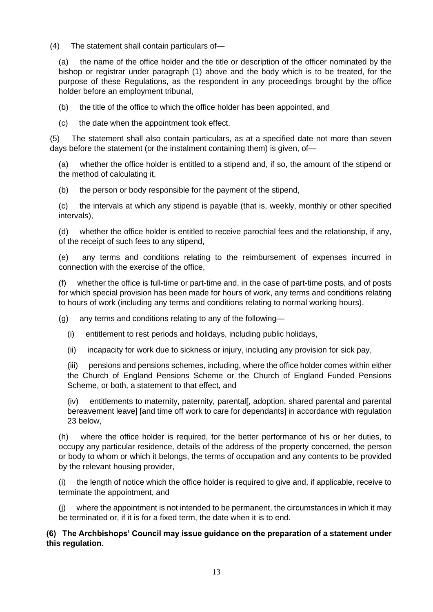(4) The statement shall contain particulars of—

(a) the name of the office holder and the title or description of the officer nominated by the bishop or registrar under paragraph (1) above and the body which is to be treated, for the purpose of these Regulations, as the respondent in any proceedings brought by the office holder before an employment tribunal,

- (b) the title of the office to which the office holder has been appointed, and
- (c) the date when the appointment took effect.

(5) The statement shall also contain particulars, as at a specified date not more than seven days before the statement (or the instalment containing them) is given, of—

(a) whether the office holder is entitled to a stipend and, if so, the amount of the stipend or the method of calculating it,

(b) the person or body responsible for the payment of the stipend,

(c) the intervals at which any stipend is payable (that is, weekly, monthly or other specified intervals),

(d) whether the office holder is entitled to receive parochial fees and the relationship, if any, of the receipt of such fees to any stipend,

(e) any terms and conditions relating to the reimbursement of expenses incurred in connection with the exercise of the office,

(f) whether the office is full-time or part-time and, in the case of part-time posts, and of posts for which special provision has been made for hours of work, any terms and conditions relating to hours of work (including any terms and conditions relating to normal working hours),

(g) any terms and conditions relating to any of the following—

- (i) entitlement to rest periods and holidays, including public holidays,
- (ii) incapacity for work due to sickness or injury, including any provision for sick pay,

(iii) pensions and pensions schemes, including, where the office holder comes within either the Church of England Pensions Scheme or the Church of England Funded Pensions Scheme, or both, a statement to that effect, and

(iv) entitlements to maternity, paternity, parental[, adoption, shared parental and parental bereavement leave] [and time off work to care for dependants] in accordance with regulation 23 below,

(h) where the office holder is required, for the better performance of his or her duties, to occupy any particular residence, details of the address of the property concerned, the person or body to whom or which it belongs, the terms of occupation and any contents to be provided by the relevant housing provider,

(i) the length of notice which the office holder is required to give and, if applicable, receive to terminate the appointment, and

(j) where the appointment is not intended to be permanent, the circumstances in which it may be terminated or, if it is for a fixed term, the date when it is to end.

### **(6) The Archbishops' Council may issue guidance on the preparation of a statement under this regulation.**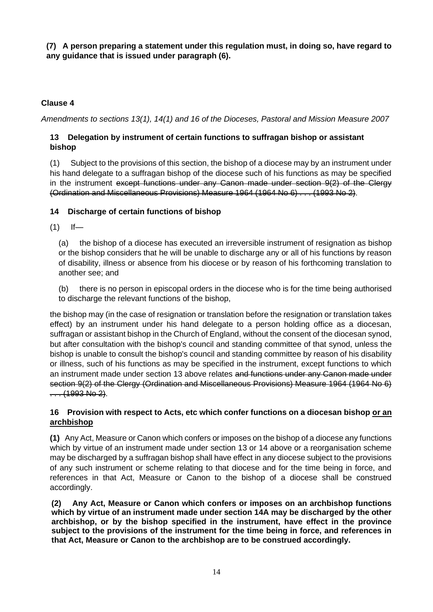**(7) A person preparing a statement under this regulation must, in doing so, have regard to any guidance that is issued under paragraph (6).**

## **Clause 4**

*Amendments to sections 13(1), 14(1) and 16 of the Dioceses, Pastoral and Mission Measure 2007*

### **13 Delegation by instrument of certain functions to suffragan bishop or assistant bishop**

(1) Subject to the provisions of this section, the bishop of a diocese may by an instrument under his hand delegate to a suffragan bishop of the diocese such of his functions as may be specified in the instrument except functions under any Canon made under section 9(2) of the Clergy (Ordination and Miscellaneous Provisions) Measure 1964 (1964 No 6) . . . (1993 No 2).

## **14 Discharge of certain functions of bishop**

 $(1)$  If—

(a) the bishop of a diocese has executed an irreversible instrument of resignation as bishop or the bishop considers that he will be unable to discharge any or all of his functions by reason of disability, illness or absence from his diocese or by reason of his forthcoming translation to another see; and

(b) there is no person in episcopal orders in the diocese who is for the time being authorised to discharge the relevant functions of the bishop,

the bishop may (in the case of resignation or translation before the resignation or translation takes effect) by an instrument under his hand delegate to a person holding office as a diocesan, suffragan or assistant bishop in the Church of England, without the consent of the diocesan synod, but after consultation with the bishop's council and standing committee of that synod, unless the bishop is unable to consult the bishop's council and standing committee by reason of his disability or illness, such of his functions as may be specified in the instrument, except functions to which an instrument made under section 13 above relates and functions under any Canon made under section 9(2) of the Clergy (Ordination and Miscellaneous Provisions) Measure 1964 (1964 No 6)  $...$  (1993 No 2).

### **16 Provision with respect to Acts, etc which confer functions on a diocesan bishop or an archbishop**

**(1)** Any Act, Measure or Canon which confers or imposes on the bishop of a diocese any functions which by virtue of an instrument made under section 13 or 14 above or a reorganisation scheme may be discharged by a suffragan bishop shall have effect in any diocese subject to the provisions of any such instrument or scheme relating to that diocese and for the time being in force, and references in that Act, Measure or Canon to the bishop of a diocese shall be construed accordingly.

**(2) Any Act, Measure or Canon which confers or imposes on an archbishop functions which by virtue of an instrument made under section 14A may be discharged by the other archbishop, or by the bishop specified in the instrument, have effect in the province subject to the provisions of the instrument for the time being in force, and references in that Act, Measure or Canon to the archbishop are to be construed accordingly.**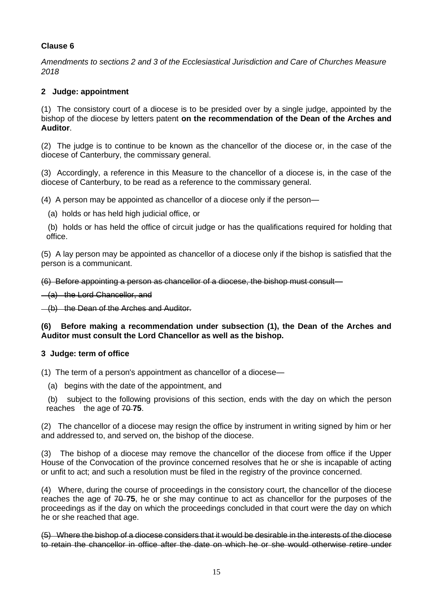*Amendments to sections 2 and 3 of the Ecclesiastical Jurisdiction and Care of Churches Measure 2018*

#### **2 Judge: appointment**

(1) The consistory court of a diocese is to be presided over by a single judge, appointed by the bishop of the diocese by letters patent **on the recommendation of the Dean of the Arches and Auditor**.

(2) The judge is to continue to be known as the chancellor of the diocese or, in the case of the diocese of Canterbury, the commissary general.

(3) Accordingly, a reference in this Measure to the chancellor of a diocese is, in the case of the diocese of Canterbury, to be read as a reference to the commissary general.

(4) A person may be appointed as chancellor of a diocese only if the person—

(a) holds or has held high judicial office, or

 (b) holds or has held the office of circuit judge or has the qualifications required for holding that office.

(5) A lay person may be appointed as chancellor of a diocese only if the bishop is satisfied that the person is a communicant.

(6) Before appointing a person as chancellor of a diocese, the bishop must consult—

(a) the Lord Chancellor, and

(b) the Dean of the Arches and Auditor.

#### **(6) Before making a recommendation under subsection (1), the Dean of the Arches and Auditor must consult the Lord Chancellor as well as the bishop.**

#### **3 Judge: term of office**

(1) The term of a person's appointment as chancellor of a diocese—

(a) begins with the date of the appointment, and

 (b) subject to the following provisions of this section, ends with the day on which the person reaches the age of 70-75.

(2) The chancellor of a diocese may resign the office by instrument in writing signed by him or her and addressed to, and served on, the bishop of the diocese.

(3) The bishop of a diocese may remove the chancellor of the diocese from office if the Upper House of the Convocation of the province concerned resolves that he or she is incapable of acting or unfit to act; and such a resolution must be filed in the registry of the province concerned.

(4) Where, during the course of proceedings in the consistory court, the chancellor of the diocese reaches the age of  $70-75$ , he or she may continue to act as chancellor for the purposes of the proceedings as if the day on which the proceedings concluded in that court were the day on which he or she reached that age.

(5) Where the bishop of a diocese considers that it would be desirable in the interests of the diocese to retain the chancellor in office after the date on which he or she would otherwise retire under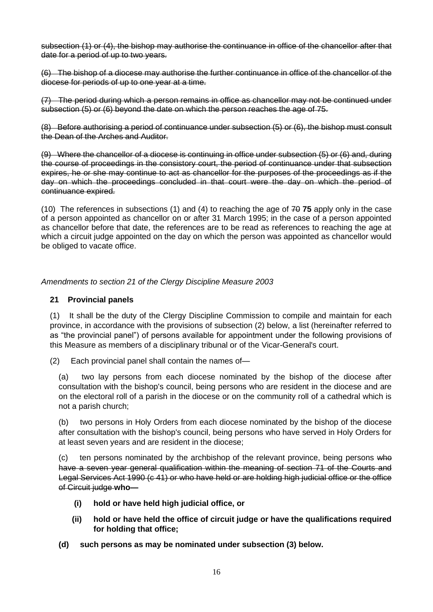subsection (1) or (4), the bishop may authorise the continuance in office of the chancellor after that date for a period of up to two years.

(6) The bishop of a diocese may authorise the further continuance in office of the chancellor of the diocese for periods of up to one year at a time.

(7) The period during which a person remains in office as chancellor may not be continued under subsection (5) or (6) beyond the date on which the person reaches the age of 75.

(8) Before authorising a period of continuance under subsection (5) or (6), the bishop must consult the Dean of the Arches and Auditor.

(9) Where the chancellor of a diocese is continuing in office under subsection (5) or (6) and, during the course of proceedings in the consistory court, the period of continuance under that subsection expires, he or she may continue to act as chancellor for the purposes of the proceedings as if the day on which the proceedings concluded in that court were the day on which the period of continuance expired.

(10) The references in subsections (1) and (4) to reaching the age of 70 **75** apply only in the case of a person appointed as chancellor on or after 31 March 1995; in the case of a person appointed as chancellor before that date, the references are to be read as references to reaching the age at which a circuit judge appointed on the day on which the person was appointed as chancellor would be obliged to vacate office.

*Amendments to section 21 of the Clergy Discipline Measure 2003*

#### **21 Provincial panels**

(1) It shall be the duty of the Clergy Discipline Commission to compile and maintain for each province, in accordance with the provisions of subsection (2) below, a list (hereinafter referred to as "the provincial panel") of persons available for appointment under the following provisions of this Measure as members of a disciplinary tribunal or of the Vicar-General's court.

(2) Each provincial panel shall contain the names of—

(a) two lay persons from each diocese nominated by the bishop of the diocese after consultation with the bishop's council, being persons who are resident in the diocese and are on the electoral roll of a parish in the diocese or on the community roll of a cathedral which is not a parish church;

(b) two persons in Holy Orders from each diocese nominated by the bishop of the diocese after consultation with the bishop's council, being persons who have served in Holy Orders for at least seven years and are resident in the diocese;

(c) ten persons nominated by the archbishop of the relevant province, being persons who have a seven year general qualification within the meaning of section 71 of the Courts and Legal Services Act 1990 (c 41) or who have held or are holding high judicial office or the office of Circuit judge **who—**

- **(i) hold or have held high judicial office, or**
- **(ii) hold or have held the office of circuit judge or have the qualifications required for holding that office;**
- **(d) such persons as may be nominated under subsection (3) below.**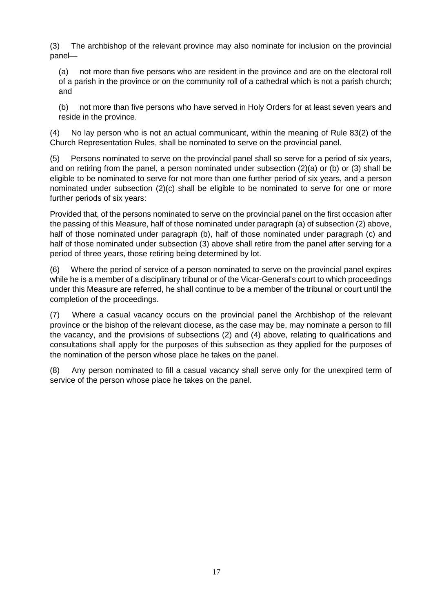(3) The archbishop of the relevant province may also nominate for inclusion on the provincial panel—

(a) not more than five persons who are resident in the province and are on the electoral roll of a parish in the province or on the community roll of a cathedral which is not a parish church; and

(b) not more than five persons who have served in Holy Orders for at least seven years and reside in the province.

(4) No lay person who is not an actual communicant, within the meaning of Rule 83(2) of the Church Representation Rules, shall be nominated to serve on the provincial panel.

(5) Persons nominated to serve on the provincial panel shall so serve for a period of six years, and on retiring from the panel, a person nominated under subsection (2)(a) or (b) or (3) shall be eligible to be nominated to serve for not more than one further period of six years, and a person nominated under subsection (2)(c) shall be eligible to be nominated to serve for one or more further periods of six years:

Provided that, of the persons nominated to serve on the provincial panel on the first occasion after the passing of this Measure, half of those nominated under paragraph (a) of subsection (2) above, half of those nominated under paragraph (b), half of those nominated under paragraph (c) and half of those nominated under subsection (3) above shall retire from the panel after serving for a period of three years, those retiring being determined by lot.

(6) Where the period of service of a person nominated to serve on the provincial panel expires while he is a member of a disciplinary tribunal or of the Vicar-General's court to which proceedings under this Measure are referred, he shall continue to be a member of the tribunal or court until the completion of the proceedings.

(7) Where a casual vacancy occurs on the provincial panel the Archbishop of the relevant province or the bishop of the relevant diocese, as the case may be, may nominate a person to fill the vacancy, and the provisions of subsections (2) and (4) above, relating to qualifications and consultations shall apply for the purposes of this subsection as they applied for the purposes of the nomination of the person whose place he takes on the panel.

(8) Any person nominated to fill a casual vacancy shall serve only for the unexpired term of service of the person whose place he takes on the panel.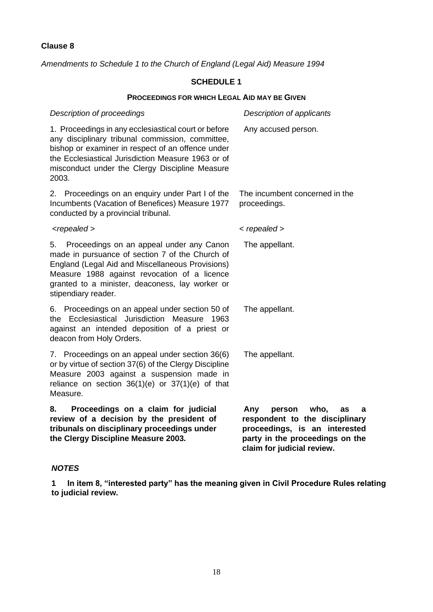*Amendments to Schedule 1 to the Church of England (Legal Aid) Measure 1994*

## **SCHEDULE 1**

#### **PROCEEDINGS FOR WHICH LEGAL AID MAY BE GIVEN**

| Description of proceedings                                                                                                                                                                                                                                                     | Description of applicants                                                                                                                                            |
|--------------------------------------------------------------------------------------------------------------------------------------------------------------------------------------------------------------------------------------------------------------------------------|----------------------------------------------------------------------------------------------------------------------------------------------------------------------|
| 1. Proceedings in any ecclesiastical court or before<br>any disciplinary tribunal commission, committee,<br>bishop or examiner in respect of an offence under<br>the Ecclesiastical Jurisdiction Measure 1963 or of<br>misconduct under the Clergy Discipline Measure<br>2003. | Any accused person.                                                                                                                                                  |
| Proceedings on an enquiry under Part I of the<br>2.<br>Incumbents (Vacation of Benefices) Measure 1977<br>conducted by a provincial tribunal.                                                                                                                                  | The incumbent concerned in the<br>proceedings.                                                                                                                       |
| <repealed></repealed>                                                                                                                                                                                                                                                          | $\langle$ repealed $\rangle$                                                                                                                                         |
| 5. Proceedings on an appeal under any Canon<br>made in pursuance of section 7 of the Church of<br>England (Legal Aid and Miscellaneous Provisions)<br>Measure 1988 against revocation of a licence<br>granted to a minister, deaconess, lay worker or<br>stipendiary reader.   | The appellant.                                                                                                                                                       |
| 6. Proceedings on an appeal under section 50 of<br>Ecclesiastical Jurisdiction<br>Measure<br>the<br>1963<br>against an intended deposition of a priest or<br>deacon from Holy Orders.                                                                                          | The appellant.                                                                                                                                                       |
| 7. Proceedings on an appeal under section 36(6)<br>or by virtue of section 37(6) of the Clergy Discipline<br>Measure 2003 against a suspension made in<br>reliance on section $36(1)(e)$ or $37(1)(e)$ of that<br>Measure.                                                     | The appellant.                                                                                                                                                       |
| Proceedings on a claim for judicial<br>8.<br>review of a decision by the president of<br>tribunals on disciplinary proceedings under<br>the Clergy Discipline Measure 2003.                                                                                                    | Any<br>person<br>who,<br>as<br>a<br>respondent to the disciplinary<br>proceedings, is an interested<br>party in the proceedings on the<br>claim for judicial review. |

#### *NOTES*

**1 In item 8, "interested party" has the meaning given in Civil Procedure Rules relating to judicial review.**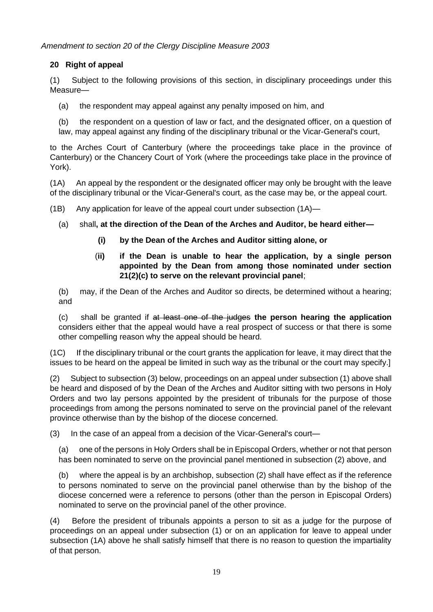*Amendment to section 20 of the Clergy Discipline Measure 2003*

## **20 Right of appeal**

(1) Subject to the following provisions of this section, in disciplinary proceedings under this Measure—

- (a) the respondent may appeal against any penalty imposed on him, and
- (b) the respondent on a question of law or fact, and the designated officer, on a question of law, may appeal against any finding of the disciplinary tribunal or the Vicar-General's court,

to the Arches Court of Canterbury (where the proceedings take place in the province of Canterbury) or the Chancery Court of York (where the proceedings take place in the province of York).

(1A) An appeal by the respondent or the designated officer may only be brought with the leave of the disciplinary tribunal or the Vicar-General's court, as the case may be, or the appeal court.

- (1B) Any application for leave of the appeal court under subsection (1A)—
	- (a) shall**, at the direction of the Dean of the Arches and Auditor, be heard either—**
		- **(i) by the Dean of the Arches and Auditor sitting alone, or**
		- (**ii) if the Dean is unable to hear the application, by a single person appointed by the Dean from among those nominated under section 21(2)(c) to serve on the relevant provincial panel**;

(b) may, if the Dean of the Arches and Auditor so directs, be determined without a hearing; and

(c) shall be granted if at least one of the judges **the person hearing the application** considers either that the appeal would have a real prospect of success or that there is some other compelling reason why the appeal should be heard.

(1C) If the disciplinary tribunal or the court grants the application for leave, it may direct that the issues to be heard on the appeal be limited in such way as the tribunal or the court may specify.]

(2) Subject to subsection (3) below, proceedings on an appeal under subsection (1) above shall be heard and disposed of by the Dean of the Arches and Auditor sitting with two persons in Holy Orders and two lay persons appointed by the president of tribunals for the purpose of those proceedings from among the persons nominated to serve on the provincial panel of the relevant province otherwise than by the bishop of the diocese concerned.

(3) In the case of an appeal from a decision of the Vicar-General's court—

(a) one of the persons in Holy Orders shall be in Episcopal Orders, whether or not that person has been nominated to serve on the provincial panel mentioned in subsection (2) above, and

(b) where the appeal is by an archbishop, subsection (2) shall have effect as if the reference to persons nominated to serve on the provincial panel otherwise than by the bishop of the diocese concerned were a reference to persons (other than the person in Episcopal Orders) nominated to serve on the provincial panel of the other province.

(4) Before the president of tribunals appoints a person to sit as a judge for the purpose of proceedings on an appeal under subsection (1) or on an application for leave to appeal under subsection (1A) above he shall satisfy himself that there is no reason to question the impartiality of that person.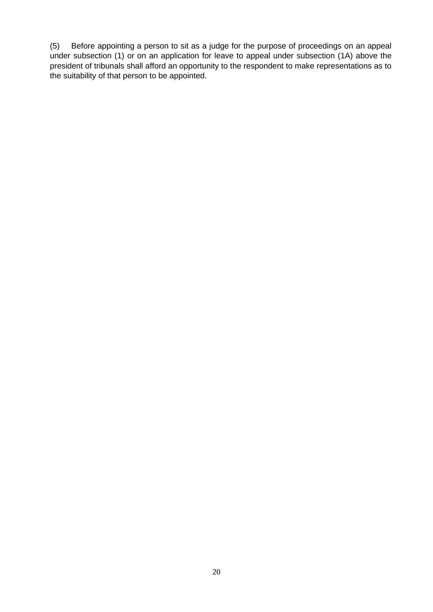(5) Before appointing a person to sit as a judge for the purpose of proceedings on an appeal under subsection (1) or on an application for leave to appeal under subsection (1A) above the president of tribunals shall afford an opportunity to the respondent to make representations as to the suitability of that person to be appointed.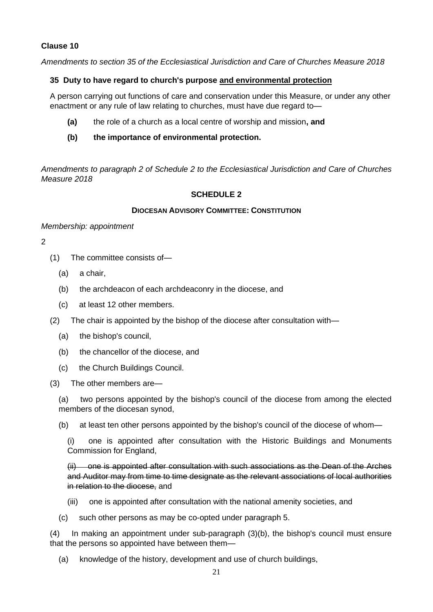*Amendments to section 35 of the Ecclesiastical Jurisdiction and Care of Churches Measure 2018* 

### **35 Duty to have regard to church's purpose and environmental protection**

A person carrying out functions of care and conservation under this Measure, or under any other enactment or any rule of law relating to churches, must have due regard to—

- **(a)** the role of a church as a local centre of worship and mission**, and**
- **(b) the importance of environmental protection.**

*Amendments to paragraph 2 of Schedule 2 to the Ecclesiastical Jurisdiction and Care of Churches Measure 2018*

### **SCHEDULE 2**

#### **DIOCESAN ADVISORY COMMITTEE: CONSTITUTION**

#### *Membership: appointment*

#### 2

- (1) The committee consists of—
	- (a) a chair,
	- (b) the archdeacon of each archdeaconry in the diocese, and
	- (c) at least 12 other members.
- (2) The chair is appointed by the bishop of the diocese after consultation with—
	- (a) the bishop's council,
	- (b) the chancellor of the diocese, and
	- (c) the Church Buildings Council.

(3) The other members are—

(a) two persons appointed by the bishop's council of the diocese from among the elected members of the diocesan synod,

(b) at least ten other persons appointed by the bishop's council of the diocese of whom—

(i) one is appointed after consultation with the Historic Buildings and Monuments Commission for England,

(ii) one is appointed after consultation with such associations as the Dean of the Arches and Auditor may from time to time designate as the relevant associations of local authorities in relation to the diocese, and

- (iii) one is appointed after consultation with the national amenity societies, and
- (c) such other persons as may be co-opted under paragraph 5.

(4) In making an appointment under sub-paragraph (3)(b), the bishop's council must ensure that the persons so appointed have between them—

(a) knowledge of the history, development and use of church buildings,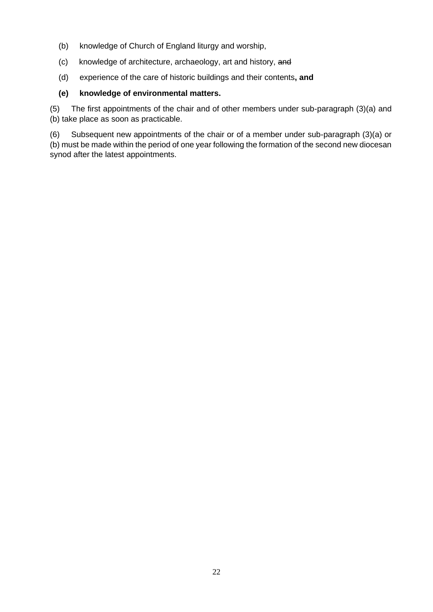- (b) knowledge of Church of England liturgy and worship,
- (c) knowledge of architecture, archaeology, art and history, and
- (d) experience of the care of historic buildings and their contents**, and**

### **(e) knowledge of environmental matters.**

(5) The first appointments of the chair and of other members under sub-paragraph (3)(a) and (b) take place as soon as practicable.

(6) Subsequent new appointments of the chair or of a member under sub-paragraph (3)(a) or (b) must be made within the period of one year following the formation of the second new diocesan synod after the latest appointments.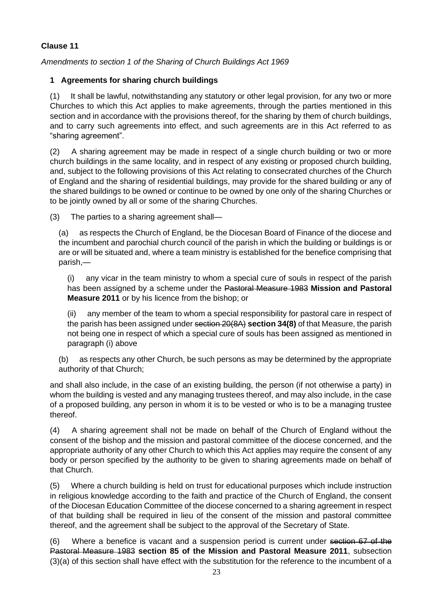*Amendments to section 1 of the Sharing of Church Buildings Act 1969*

## **1 Agreements for sharing church buildings**

(1) It shall be lawful, notwithstanding any statutory or other legal provision, for any two or more Churches to which this Act applies to make agreements, through the parties mentioned in this section and in accordance with the provisions thereof, for the sharing by them of church buildings, and to carry such agreements into effect, and such agreements are in this Act referred to as "sharing agreement".

(2) A sharing agreement may be made in respect of a single church building or two or more church buildings in the same locality, and in respect of any existing or proposed church building, and, subject to the following provisions of this Act relating to consecrated churches of the Church of England and the sharing of residential buildings, may provide for the shared building or any of the shared buildings to be owned or continue to be owned by one only of the sharing Churches or to be jointly owned by all or some of the sharing Churches.

(3) The parties to a sharing agreement shall—

(a) as respects the Church of England, be the Diocesan Board of Finance of the diocese and the incumbent and parochial church council of the parish in which the building or buildings is or are or will be situated and, where a team ministry is established for the benefice comprising that parish,—

(i) any vicar in the team ministry to whom a special cure of souls in respect of the parish has been assigned by a scheme under the Pastoral Measure 1983 **Mission and Pastoral Measure 2011** or by his licence from the bishop; or

(ii) any member of the team to whom a special responsibility for pastoral care in respect of the parish has been assigned under section 20(8A) **section 34(8)** of that Measure, the parish not being one in respect of which a special cure of souls has been assigned as mentioned in paragraph (i) above

(b) as respects any other Church, be such persons as may be determined by the appropriate authority of that Church;

and shall also include, in the case of an existing building, the person (if not otherwise a party) in whom the building is vested and any managing trustees thereof, and may also include, in the case of a proposed building, any person in whom it is to be vested or who is to be a managing trustee thereof.

(4) A sharing agreement shall not be made on behalf of the Church of England without the consent of the bishop and the mission and pastoral committee of the diocese concerned, and the appropriate authority of any other Church to which this Act applies may require the consent of any body or person specified by the authority to be given to sharing agreements made on behalf of that Church.

(5) Where a church building is held on trust for educational purposes which include instruction in religious knowledge according to the faith and practice of the Church of England, the consent of the Diocesan Education Committee of the diocese concerned to a sharing agreement in respect of that building shall be required in lieu of the consent of the mission and pastoral committee thereof, and the agreement shall be subject to the approval of the Secretary of State.

(6) Where a benefice is vacant and a suspension period is current under section 67 of the Pastoral Measure 1983 **section 85 of the Mission and Pastoral Measure 2011**, subsection (3)(a) of this section shall have effect with the substitution for the reference to the incumbent of a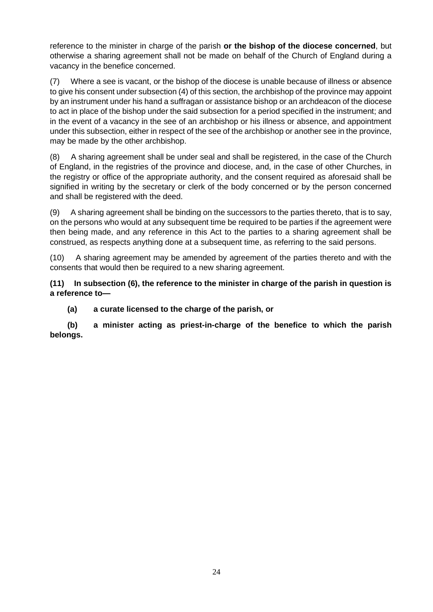reference to the minister in charge of the parish **or the bishop of the diocese concerned**, but otherwise a sharing agreement shall not be made on behalf of the Church of England during a vacancy in the benefice concerned.

(7) Where a see is vacant, or the bishop of the diocese is unable because of illness or absence to give his consent under subsection (4) of this section, the archbishop of the province may appoint by an instrument under his hand a suffragan or assistance bishop or an archdeacon of the diocese to act in place of the bishop under the said subsection for a period specified in the instrument; and in the event of a vacancy in the see of an archbishop or his illness or absence, and appointment under this subsection, either in respect of the see of the archbishop or another see in the province, may be made by the other archbishop.

(8) A sharing agreement shall be under seal and shall be registered, in the case of the Church of England, in the registries of the province and diocese, and, in the case of other Churches, in the registry or office of the appropriate authority, and the consent required as aforesaid shall be signified in writing by the secretary or clerk of the body concerned or by the person concerned and shall be registered with the deed.

(9) A sharing agreement shall be binding on the successors to the parties thereto, that is to say, on the persons who would at any subsequent time be required to be parties if the agreement were then being made, and any reference in this Act to the parties to a sharing agreement shall be construed, as respects anything done at a subsequent time, as referring to the said persons.

(10) A sharing agreement may be amended by agreement of the parties thereto and with the consents that would then be required to a new sharing agreement.

**(11) In subsection (6), the reference to the minister in charge of the parish in question is a reference to—**

**(a) a curate licensed to the charge of the parish, or**

**(b) a minister acting as priest-in-charge of the benefice to which the parish belongs.**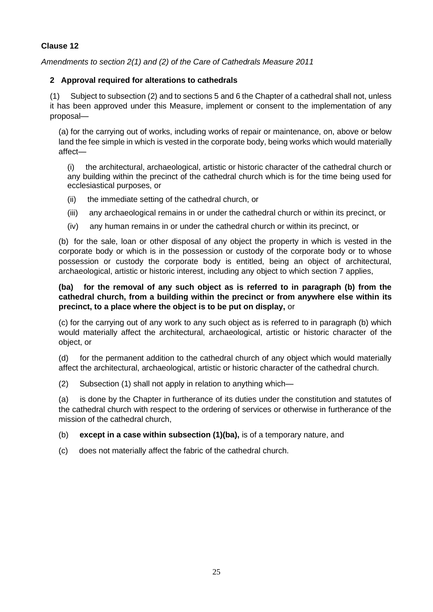*Amendments to section 2(1) and (2) of the Care of Cathedrals Measure 2011*

## **2 Approval required for alterations to cathedrals**

(1) Subject to subsection (2) and to sections 5 and 6 the Chapter of a cathedral shall not, unless it has been approved under this Measure, implement or consent to the implementation of any proposal—

(a) for the carrying out of works, including works of repair or maintenance, on, above or below land the fee simple in which is vested in the corporate body, being works which would materially affect—

(i) the architectural, archaeological, artistic or historic character of the cathedral church or any building within the precinct of the cathedral church which is for the time being used for ecclesiastical purposes, or

- (ii) the immediate setting of the cathedral church, or
- (iii) any archaeological remains in or under the cathedral church or within its precinct, or
- (iv) any human remains in or under the cathedral church or within its precinct, or

(b) for the sale, loan or other disposal of any object the property in which is vested in the corporate body or which is in the possession or custody of the corporate body or to whose possession or custody the corporate body is entitled, being an object of architectural, archaeological, artistic or historic interest, including any object to which section 7 applies,

#### **(ba) for the removal of any such object as is referred to in paragraph (b) from the cathedral church, from a building within the precinct or from anywhere else within its precinct, to a place where the object is to be put on display,** or

(c) for the carrying out of any work to any such object as is referred to in paragraph (b) which would materially affect the architectural, archaeological, artistic or historic character of the object, or

(d) for the permanent addition to the cathedral church of any object which would materially affect the architectural, archaeological, artistic or historic character of the cathedral church.

(2) Subsection (1) shall not apply in relation to anything which—

(a) is done by the Chapter in furtherance of its duties under the constitution and statutes of the cathedral church with respect to the ordering of services or otherwise in furtherance of the mission of the cathedral church,

#### (b) **except in a case within subsection (1)(ba),** is of a temporary nature, and

(c) does not materially affect the fabric of the cathedral church.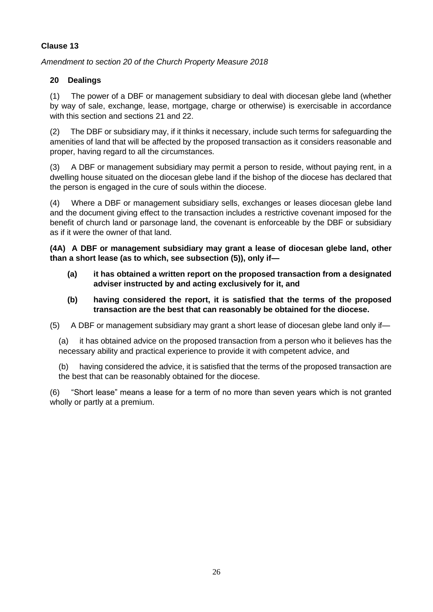*Amendment to section 20 of the Church Property Measure 2018*

## **20 Dealings**

(1) The power of a DBF or management subsidiary to deal with diocesan glebe land (whether by way of sale, exchange, lease, mortgage, charge or otherwise) is exercisable in accordance with this section and sections 21 and 22.

(2) The DBF or subsidiary may, if it thinks it necessary, include such terms for safeguarding the amenities of land that will be affected by the proposed transaction as it considers reasonable and proper, having regard to all the circumstances.

(3) A DBF or management subsidiary may permit a person to reside, without paying rent, in a dwelling house situated on the diocesan glebe land if the bishop of the diocese has declared that the person is engaged in the cure of souls within the diocese.

(4) Where a DBF or management subsidiary sells, exchanges or leases diocesan glebe land and the document giving effect to the transaction includes a restrictive covenant imposed for the benefit of church land or parsonage land, the covenant is enforceable by the DBF or subsidiary as if it were the owner of that land.

**(4A) A DBF or management subsidiary may grant a lease of diocesan glebe land, other than a short lease (as to which, see subsection (5)), only if—**

- **(a) it has obtained a written report on the proposed transaction from a designated adviser instructed by and acting exclusively for it, and**
- **(b) having considered the report, it is satisfied that the terms of the proposed transaction are the best that can reasonably be obtained for the diocese.**

(5) A DBF or management subsidiary may grant a short lease of diocesan glebe land only if—

(a) it has obtained advice on the proposed transaction from a person who it believes has the necessary ability and practical experience to provide it with competent advice, and

(b) having considered the advice, it is satisfied that the terms of the proposed transaction are the best that can be reasonably obtained for the diocese.

(6) "Short lease" means a lease for a term of no more than seven years which is not granted wholly or partly at a premium.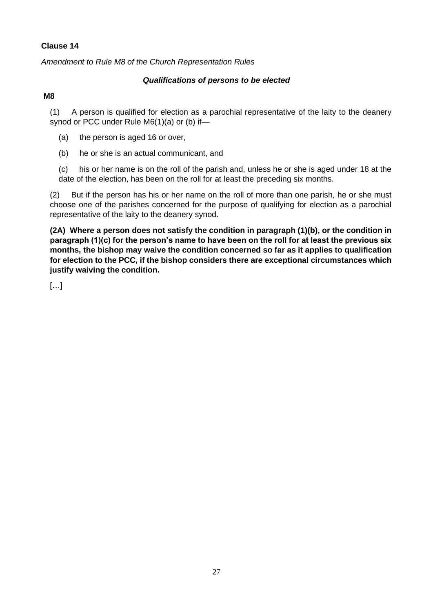*Amendment to Rule M8 of the Church Representation Rules*

#### *Qualifications of persons to be elected*

#### **M8**

(1) A person is qualified for election as a parochial representative of the laity to the deanery synod or PCC under Rule M6(1)(a) or (b) if—

- (a) the person is aged 16 or over,
- (b) he or she is an actual communicant, and

(c) his or her name is on the roll of the parish and, unless he or she is aged under 18 at the date of the election, has been on the roll for at least the preceding six months.

(2) But if the person has his or her name on the roll of more than one parish, he or she must choose one of the parishes concerned for the purpose of qualifying for election as a parochial representative of the laity to the deanery synod.

**(2A) Where a person does not satisfy the condition in paragraph (1)(b), or the condition in paragraph (1)(c) for the person's name to have been on the roll for at least the previous six months, the bishop may waive the condition concerned so far as it applies to qualification for election to the PCC, if the bishop considers there are exceptional circumstances which justify waiving the condition.**

[…]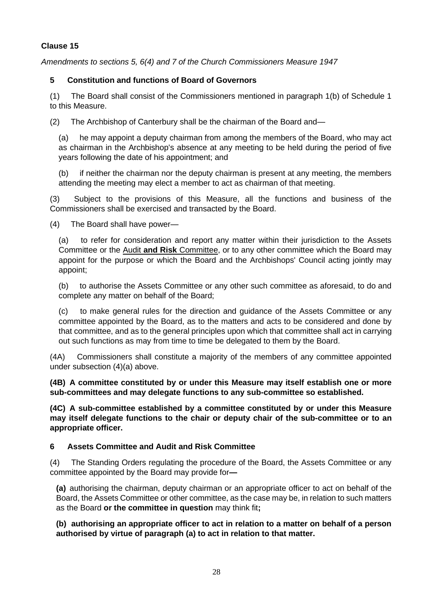*Amendments to sections 5, 6(4) and 7 of the Church Commissioners Measure 1947*

## **5 Constitution and functions of Board of Governors**

(1) The Board shall consist of the Commissioners mentioned in paragraph 1(b) of Schedule 1 to this Measure.

(2) The Archbishop of Canterbury shall be the chairman of the Board and—

(a) he may appoint a deputy chairman from among the members of the Board, who may act as chairman in the Archbishop's absence at any meeting to be held during the period of five years following the date of his appointment; and

(b) if neither the chairman nor the deputy chairman is present at any meeting, the members attending the meeting may elect a member to act as chairman of that meeting.

(3) Subject to the provisions of this Measure, all the functions and business of the Commissioners shall be exercised and transacted by the Board.

(4) The Board shall have power—

(a) to refer for consideration and report any matter within their jurisdiction to the Assets Committee or the Audit **and Risk** Committee, or to any other committee which the Board may appoint for the purpose or which the Board and the Archbishops' Council acting jointly may appoint;

(b) to authorise the Assets Committee or any other such committee as aforesaid, to do and complete any matter on behalf of the Board;

(c) to make general rules for the direction and guidance of the Assets Committee or any committee appointed by the Board, as to the matters and acts to be considered and done by that committee, and as to the general principles upon which that committee shall act in carrying out such functions as may from time to time be delegated to them by the Board.

(4A) Commissioners shall constitute a majority of the members of any committee appointed under subsection (4)(a) above.

**(4B) A committee constituted by or under this Measure may itself establish one or more sub-committees and may delegate functions to any sub-committee so established.**

**(4C) A sub-committee established by a committee constituted by or under this Measure may itself delegate functions to the chair or deputy chair of the sub-committee or to an appropriate officer.** 

## **6 Assets Committee and Audit and Risk Committee**

(4) The Standing Orders regulating the procedure of the Board, the Assets Committee or any committee appointed by the Board may provide for**—**

**(a)** authorising the chairman, deputy chairman or an appropriate officer to act on behalf of the Board, the Assets Committee or other committee, as the case may be, in relation to such matters as the Board **or the committee in question** may think fit**;**

**(b) authorising an appropriate officer to act in relation to a matter on behalf of a person authorised by virtue of paragraph (a) to act in relation to that matter.**